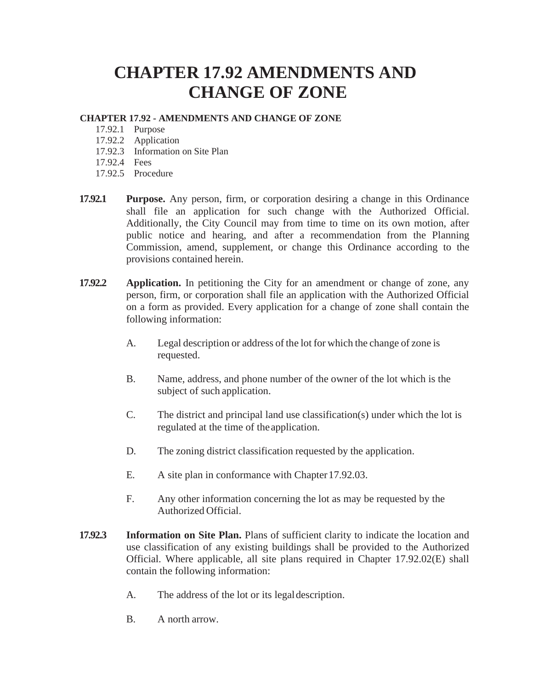## **CHAPTER 17.92 AMENDMENTS AND CHANGE OF ZONE**

## **CHAPTER 17.92 - AMENDMENTS AND CHANGE OF ZONE**

- 17.92.1 Purpose
- 17.92.2 Application
- 17.92.3 Information on Site Plan
- 17.92.4 Fees
- 17.92.5 Procedure
- **17.92.1 Purpose.** Any person, firm, or corporation desiring a change in this Ordinance shall file an application for such change with the Authorized Official. Additionally, the City Council may from time to time on its own motion, after public notice and hearing, and after a recommendation from the Planning Commission, amend, supplement, or change this Ordinance according to the provisions contained herein.
- **17.92.2 Application.** In petitioning the City for an amendment or change of zone, any person, firm, or corporation shall file an application with the Authorized Official on a form as provided. Every application for a change of zone shall contain the following information:
	- A. Legal description or address of the lot for which the change of zone is requested.
	- B. Name, address, and phone number of the owner of the lot which is the subject of such application.
	- C. The district and principal land use classification(s) under which the lot is regulated at the time of theapplication.
	- D. The zoning district classification requested by the application.
	- E. A site plan in conformance with Chapter 17.92.03.
	- F. Any other information concerning the lot as may be requested by the Authorized Official.
- **17.92.3 Information on Site Plan.** Plans of sufficient clarity to indicate the location and use classification of any existing buildings shall be provided to the Authorized Official. Where applicable, all site plans required in Chapter 17.92.02(E) shall contain the following information:
	- A. The address of the lot or its legaldescription.
	- B. A north arrow.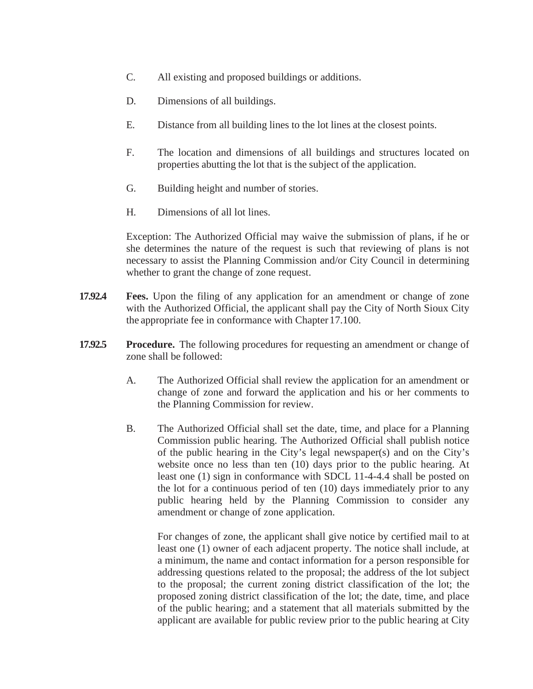- C. All existing and proposed buildings or additions.
- D. Dimensions of all buildings.
- E. Distance from all building lines to the lot lines at the closest points.
- F. The location and dimensions of all buildings and structures located on properties abutting the lot that is the subject of the application.
- G. Building height and number of stories.
- H. Dimensions of all lot lines.

Exception: The Authorized Official may waive the submission of plans, if he or she determines the nature of the request is such that reviewing of plans is not necessary to assist the Planning Commission and/or City Council in determining whether to grant the change of zone request.

- **17.92.4 Fees.** Upon the filing of any application for an amendment or change of zone with the Authorized Official, the applicant shall pay the City of North Sioux City the appropriate fee in conformance with Chapter 17.100.
- **17.92.5 Procedure.** The following procedures for requesting an amendment or change of zone shall be followed:
	- A. The Authorized Official shall review the application for an amendment or change of zone and forward the application and his or her comments to the Planning Commission for review.
	- B. The Authorized Official shall set the date, time, and place for a Planning Commission public hearing. The Authorized Official shall publish notice of the public hearing in the City's legal newspaper(s) and on the City's website once no less than ten (10) days prior to the public hearing. At least one (1) sign in conformance with SDCL 11-4-4.4 shall be posted on the lot for a continuous period of ten (10) days immediately prior to any public hearing held by the Planning Commission to consider any amendment or change of zone application.

For changes of zone, the applicant shall give notice by certified mail to at least one (1) owner of each adjacent property. The notice shall include, at a minimum, the name and contact information for a person responsible for addressing questions related to the proposal; the address of the lot subject to the proposal; the current zoning district classification of the lot; the proposed zoning district classification of the lot; the date, time, and place of the public hearing; and a statement that all materials submitted by the applicant are available for public review prior to the public hearing at City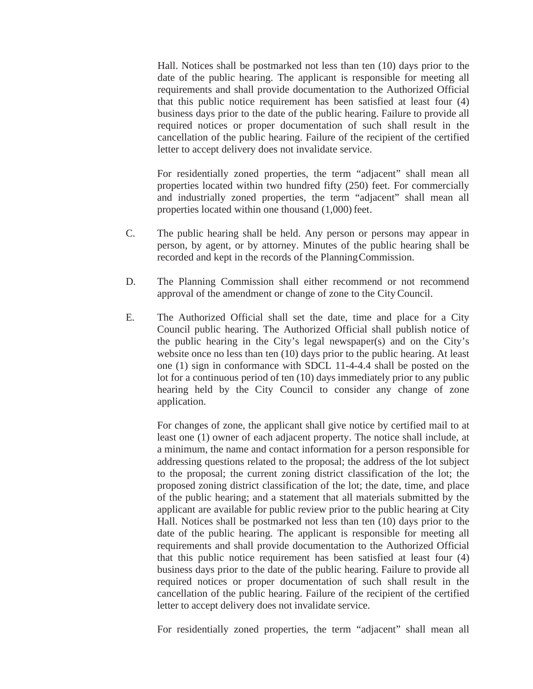Hall. Notices shall be postmarked not less than ten (10) days prior to the date of the public hearing. The applicant is responsible for meeting all requirements and shall provide documentation to the Authorized Official that this public notice requirement has been satisfied at least four (4) business days prior to the date of the public hearing. Failure to provide all required notices or proper documentation of such shall result in the cancellation of the public hearing. Failure of the recipient of the certified letter to accept delivery does not invalidate service.

For residentially zoned properties, the term "adjacent" shall mean all properties located within two hundred fifty (250) feet. For commercially and industrially zoned properties, the term "adjacent" shall mean all properties located within one thousand (1,000) feet.

- C. The public hearing shall be held. Any person or persons may appear in person, by agent, or by attorney. Minutes of the public hearing shall be recorded and kept in the records of the PlanningCommission.
- D. The Planning Commission shall either recommend or not recommend approval of the amendment or change of zone to the CityCouncil.
- E. The Authorized Official shall set the date, time and place for a City Council public hearing. The Authorized Official shall publish notice of the public hearing in the City's legal newspaper(s) and on the City's website once no less than ten (10) days prior to the public hearing. At least one (1) sign in conformance with SDCL 11-4-4.4 shall be posted on the lot for a continuous period of ten (10) days immediately prior to any public hearing held by the City Council to consider any change of zone application.

For changes of zone, the applicant shall give notice by certified mail to at least one (1) owner of each adjacent property. The notice shall include, at a minimum, the name and contact information for a person responsible for addressing questions related to the proposal; the address of the lot subject to the proposal; the current zoning district classification of the lot; the proposed zoning district classification of the lot; the date, time, and place of the public hearing; and a statement that all materials submitted by the applicant are available for public review prior to the public hearing at City Hall. Notices shall be postmarked not less than ten (10) days prior to the date of the public hearing. The applicant is responsible for meeting all requirements and shall provide documentation to the Authorized Official that this public notice requirement has been satisfied at least four (4) business days prior to the date of the public hearing. Failure to provide all required notices or proper documentation of such shall result in the cancellation of the public hearing. Failure of the recipient of the certified letter to accept delivery does not invalidate service.

For residentially zoned properties, the term "adjacent" shall mean all